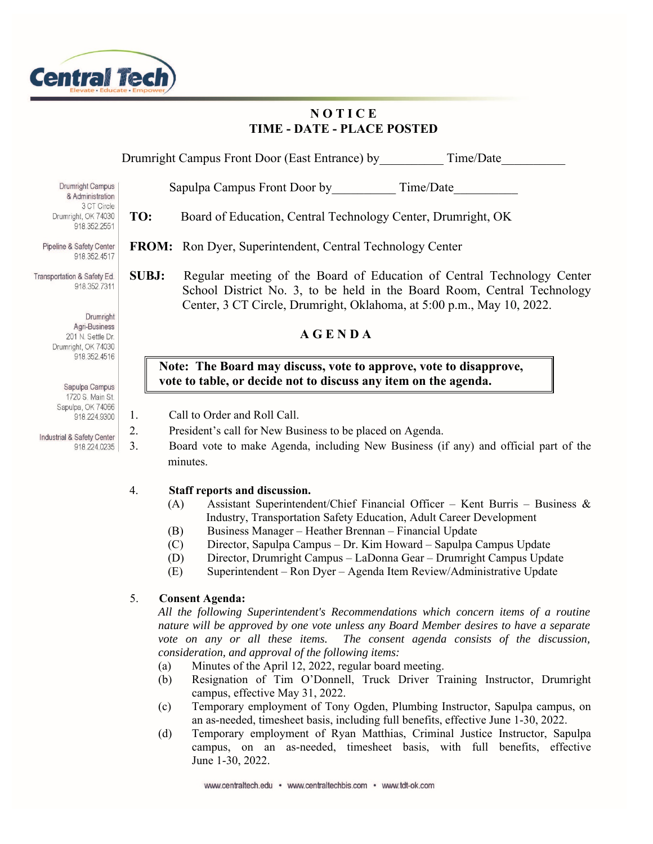

# **N O T I C E TIME - DATE - PLACE POSTED**

Drumright Campus Front Door (East Entrance) by Time/Date

Sapulpa Campus Front Door by Time/Date

- **TO:** Board of Education, Central Technology Center, Drumright, OK
- **FROM:** Ron Dyer, Superintendent, Central Technology Center
- **SUBJ:** Regular meeting of the Board of Education of Central Technology Center School District No. 3, to be held in the Board Room, Central Technology Center, 3 CT Circle, Drumright, Oklahoma, at 5:00 p.m., May 10, 2022.

## **Note: The Board may discuss, vote to approve, vote to disapprove, vote to table, or decide not to discuss any item on the agenda.**

- 1. Call to Order and Roll Call.
- 2. President's call for New Business to be placed on Agenda.
- 3. Board vote to make Agenda, including New Business (if any) and official part of the minutes.

## 4. **Staff reports and discussion.**

- (A) Assistant Superintendent/Chief Financial Officer Kent Burris Business & Industry, Transportation Safety Education, Adult Career Development
- (B) Business Manager Heather Brennan Financial Update
- (C) Director, Sapulpa Campus Dr. Kim Howard Sapulpa Campus Update
- (D) Director, Drumright Campus LaDonna Gear Drumright Campus Update
- (E) Superintendent Ron Dyer Agenda Item Review/Administrative Update

## 5. **Consent Agenda:**

*All the following Superintendent's Recommendations which concern items of a routine nature will be approved by one vote unless any Board Member desires to have a separate vote on any or all these items. The consent agenda consists of the discussion, consideration, and approval of the following items:* 

- (a) Minutes of the April 12, 2022, regular board meeting.
- (b) Resignation of Tim O'Donnell, Truck Driver Training Instructor, Drumright campus, effective May 31, 2022.
- (c) Temporary employment of Tony Ogden, Plumbing Instructor, Sapulpa campus, on an as-needed, timesheet basis, including full benefits, effective June 1-30, 2022.
- (d) Temporary employment of Ryan Matthias, Criminal Justice Instructor, Sapulpa campus, on an as-needed, timesheet basis, with full benefits, effective June 1-30, 2022.

**Drumright Campus** & Administration 3 CT Circle Drumright, OK 74030 918.352.2551

Pipeline & Safety Center 918.352.4517

Transportation & Safety Ed. 918.352.7311

> Drumright A G E N D A<br>
> Prumright, OK 74030 918.352.4516

Sapulpa Campus 1720 S. Main St. Sapulpa, OK 74066 918.224.9300

Industrial & Safety Center 918.224.0235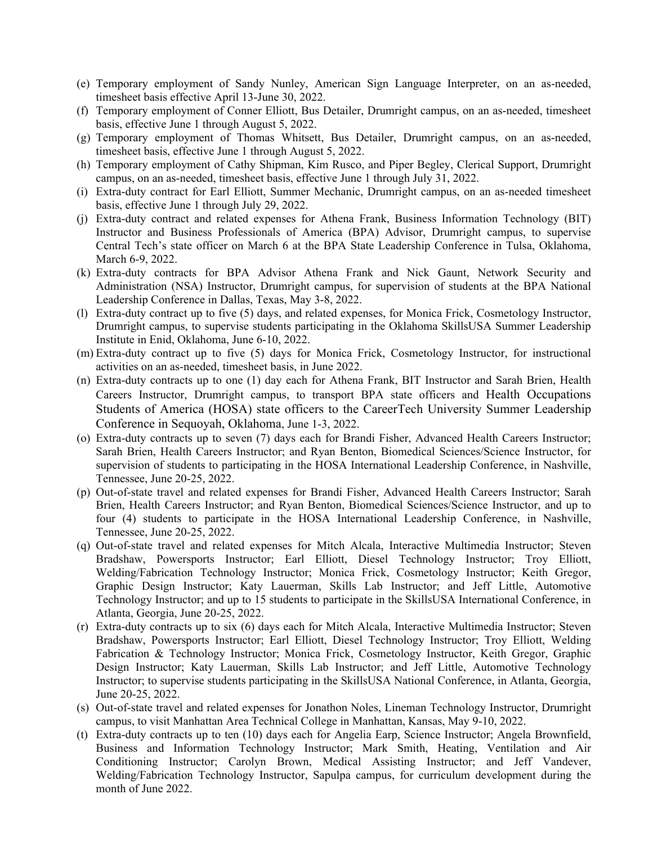- (e) Temporary employment of Sandy Nunley, American Sign Language Interpreter, on an as-needed, timesheet basis effective April 13-June 30, 2022.
- (f) Temporary employment of Conner Elliott, Bus Detailer, Drumright campus, on an as-needed, timesheet basis, effective June 1 through August 5, 2022.
- (g) Temporary employment of Thomas Whitsett, Bus Detailer, Drumright campus, on an as-needed, timesheet basis, effective June 1 through August 5, 2022.
- (h) Temporary employment of Cathy Shipman, Kim Rusco, and Piper Begley, Clerical Support, Drumright campus, on an as-needed, timesheet basis, effective June 1 through July 31, 2022.
- (i) Extra-duty contract for Earl Elliott, Summer Mechanic, Drumright campus, on an as-needed timesheet basis, effective June 1 through July 29, 2022.
- (j) Extra-duty contract and related expenses for Athena Frank, Business Information Technology (BIT) Instructor and Business Professionals of America (BPA) Advisor, Drumright campus, to supervise Central Tech's state officer on March 6 at the BPA State Leadership Conference in Tulsa, Oklahoma, March 6-9, 2022.
- (k) Extra-duty contracts for BPA Advisor Athena Frank and Nick Gaunt, Network Security and Administration (NSA) Instructor, Drumright campus, for supervision of students at the BPA National Leadership Conference in Dallas, Texas, May 3-8, 2022.
- (l) Extra-duty contract up to five (5) days, and related expenses, for Monica Frick, Cosmetology Instructor, Drumright campus, to supervise students participating in the Oklahoma SkillsUSA Summer Leadership Institute in Enid, Oklahoma, June 6-10, 2022.
- (m) Extra-duty contract up to five (5) days for Monica Frick, Cosmetology Instructor, for instructional activities on an as-needed, timesheet basis, in June 2022.
- (n) Extra-duty contracts up to one (1) day each for Athena Frank, BIT Instructor and Sarah Brien, Health Careers Instructor, Drumright campus, to transport BPA state officers and Health Occupations Students of America (HOSA) state officers to the CareerTech University Summer Leadership Conference in Sequoyah, Oklahoma, June 1-3, 2022.
- (o) Extra-duty contracts up to seven (7) days each for Brandi Fisher, Advanced Health Careers Instructor; Sarah Brien, Health Careers Instructor; and Ryan Benton, Biomedical Sciences/Science Instructor, for supervision of students to participating in the HOSA International Leadership Conference, in Nashville, Tennessee, June 20-25, 2022.
- (p) Out-of-state travel and related expenses for Brandi Fisher, Advanced Health Careers Instructor; Sarah Brien, Health Careers Instructor; and Ryan Benton, Biomedical Sciences/Science Instructor, and up to four (4) students to participate in the HOSA International Leadership Conference, in Nashville, Tennessee, June 20-25, 2022.
- (q) Out-of-state travel and related expenses for Mitch Alcala, Interactive Multimedia Instructor; Steven Bradshaw, Powersports Instructor; Earl Elliott, Diesel Technology Instructor; Troy Elliott, Welding/Fabrication Technology Instructor; Monica Frick, Cosmetology Instructor; Keith Gregor, Graphic Design Instructor; Katy Lauerman, Skills Lab Instructor; and Jeff Little, Automotive Technology Instructor; and up to 15 students to participate in the SkillsUSA International Conference, in Atlanta, Georgia, June 20-25, 2022.
- (r) Extra-duty contracts up to six (6) days each for Mitch Alcala, Interactive Multimedia Instructor; Steven Bradshaw, Powersports Instructor; Earl Elliott, Diesel Technology Instructor; Troy Elliott, Welding Fabrication & Technology Instructor; Monica Frick, Cosmetology Instructor, Keith Gregor, Graphic Design Instructor; Katy Lauerman, Skills Lab Instructor; and Jeff Little, Automotive Technology Instructor; to supervise students participating in the SkillsUSA National Conference, in Atlanta, Georgia, June 20-25, 2022.
- (s) Out-of-state travel and related expenses for Jonathon Noles, Lineman Technology Instructor, Drumright campus, to visit Manhattan Area Technical College in Manhattan, Kansas, May 9-10, 2022.
- (t) Extra-duty contracts up to ten (10) days each for Angelia Earp, Science Instructor; Angela Brownfield, Business and Information Technology Instructor; Mark Smith, Heating, Ventilation and Air Conditioning Instructor; Carolyn Brown, Medical Assisting Instructor; and Jeff Vandever, Welding/Fabrication Technology Instructor, Sapulpa campus, for curriculum development during the month of June 2022.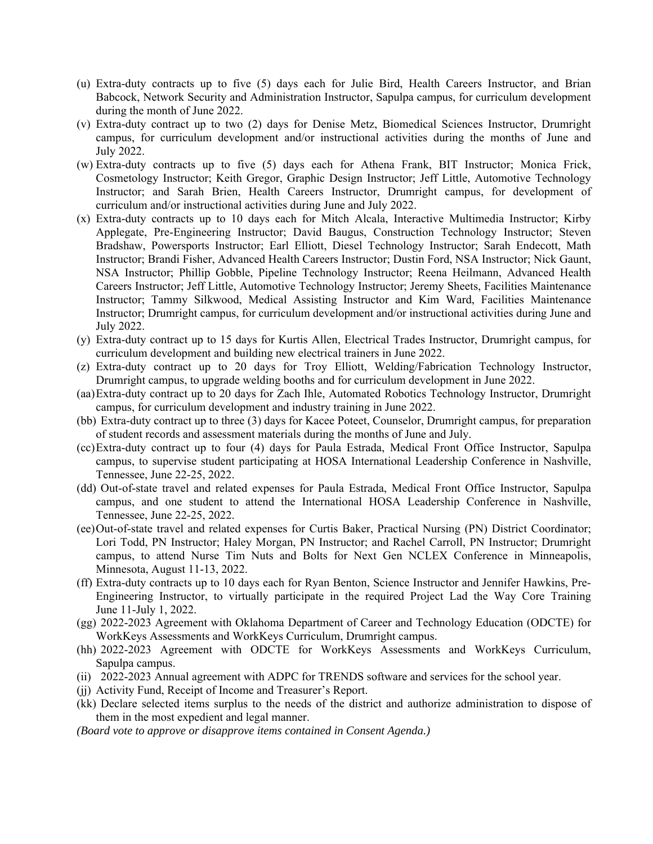- (u) Extra-duty contracts up to five (5) days each for Julie Bird, Health Careers Instructor, and Brian Babcock, Network Security and Administration Instructor, Sapulpa campus, for curriculum development during the month of June 2022.
- (v) Extra-duty contract up to two (2) days for Denise Metz, Biomedical Sciences Instructor, Drumright campus, for curriculum development and/or instructional activities during the months of June and July 2022.
- (w) Extra-duty contracts up to five (5) days each for Athena Frank, BIT Instructor; Monica Frick, Cosmetology Instructor; Keith Gregor, Graphic Design Instructor; Jeff Little, Automotive Technology Instructor; and Sarah Brien, Health Careers Instructor, Drumright campus, for development of curriculum and/or instructional activities during June and July 2022.
- (x) Extra-duty contracts up to 10 days each for Mitch Alcala, Interactive Multimedia Instructor; Kirby Applegate, Pre-Engineering Instructor; David Baugus, Construction Technology Instructor; Steven Bradshaw, Powersports Instructor; Earl Elliott, Diesel Technology Instructor; Sarah Endecott, Math Instructor; Brandi Fisher, Advanced Health Careers Instructor; Dustin Ford, NSA Instructor; Nick Gaunt, NSA Instructor; Phillip Gobble, Pipeline Technology Instructor; Reena Heilmann, Advanced Health Careers Instructor; Jeff Little, Automotive Technology Instructor; Jeremy Sheets, Facilities Maintenance Instructor; Tammy Silkwood, Medical Assisting Instructor and Kim Ward, Facilities Maintenance Instructor; Drumright campus, for curriculum development and/or instructional activities during June and July 2022.
- (y) Extra-duty contract up to 15 days for Kurtis Allen, Electrical Trades Instructor, Drumright campus, for curriculum development and building new electrical trainers in June 2022.
- (z) Extra-duty contract up to 20 days for Troy Elliott, Welding/Fabrication Technology Instructor, Drumright campus, to upgrade welding booths and for curriculum development in June 2022.
- (aa)Extra-duty contract up to 20 days for Zach Ihle, Automated Robotics Technology Instructor, Drumright campus, for curriculum development and industry training in June 2022.
- (bb) Extra-duty contract up to three (3) days for Kacee Poteet, Counselor, Drumright campus, for preparation of student records and assessment materials during the months of June and July.
- (cc)Extra-duty contract up to four (4) days for Paula Estrada, Medical Front Office Instructor, Sapulpa campus, to supervise student participating at HOSA International Leadership Conference in Nashville, Tennessee, June 22-25, 2022.
- (dd) Out-of-state travel and related expenses for Paula Estrada, Medical Front Office Instructor, Sapulpa campus, and one student to attend the International HOSA Leadership Conference in Nashville, Tennessee, June 22-25, 2022.
- (ee)Out-of-state travel and related expenses for Curtis Baker, Practical Nursing (PN) District Coordinator; Lori Todd, PN Instructor; Haley Morgan, PN Instructor; and Rachel Carroll, PN Instructor; Drumright campus, to attend Nurse Tim Nuts and Bolts for Next Gen NCLEX Conference in Minneapolis, Minnesota, August 11-13, 2022.
- (ff) Extra-duty contracts up to 10 days each for Ryan Benton, Science Instructor and Jennifer Hawkins, Pre-Engineering Instructor, to virtually participate in the required Project Lad the Way Core Training June 11-July 1, 2022.
- (gg) 2022-2023 Agreement with Oklahoma Department of Career and Technology Education (ODCTE) for WorkKeys Assessments and WorkKeys Curriculum, Drumright campus.
- (hh) 2022-2023 Agreement with ODCTE for WorkKeys Assessments and WorkKeys Curriculum, Sapulpa campus.
- (ii) 2022-2023 Annual agreement with ADPC for TRENDS software and services for the school year.
- (jj) Activity Fund, Receipt of Income and Treasurer's Report.
- (kk) Declare selected items surplus to the needs of the district and authorize administration to dispose of them in the most expedient and legal manner.

*(Board vote to approve or disapprove items contained in Consent Agenda.)*